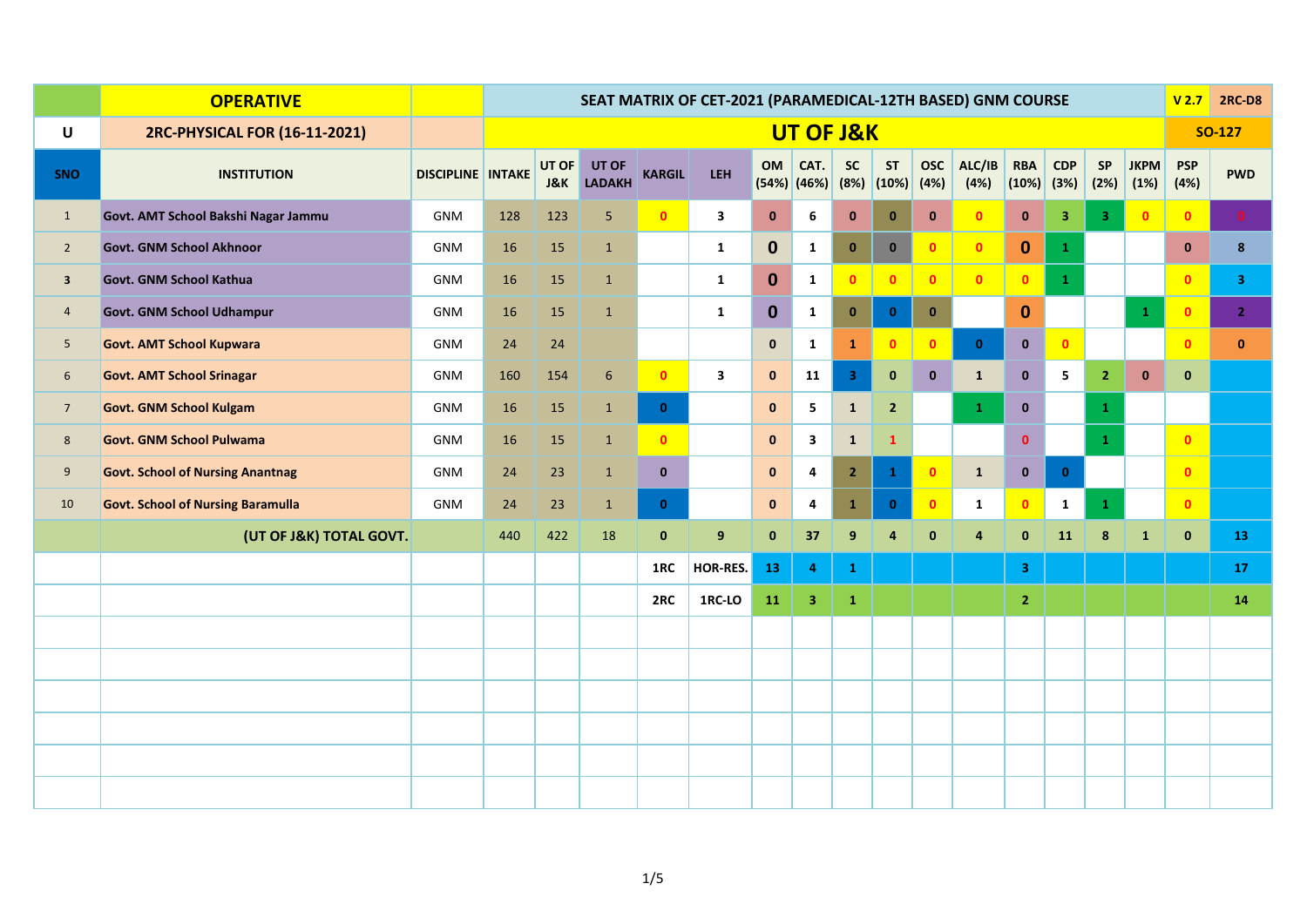|                         | <b>OPERATIVE</b>                         |                          | SEAT MATRIX OF CET-2021 (PARAMEDICAL-12TH BASED) GNM COURSE |                         |                        |               |                         |              |                       |                         |                          |                    |                |                            |                         |                         | V <sub>2.7</sub>    | <b>2RC-D8</b>      |                |
|-------------------------|------------------------------------------|--------------------------|-------------------------------------------------------------|-------------------------|------------------------|---------------|-------------------------|--------------|-----------------------|-------------------------|--------------------------|--------------------|----------------|----------------------------|-------------------------|-------------------------|---------------------|--------------------|----------------|
| U                       | 2RC-PHYSICAL FOR (16-11-2021)            |                          |                                                             |                         |                        |               |                         |              | UT OF J&K             |                         |                          |                    |                |                            |                         |                         |                     |                    | <b>SO-127</b>  |
| SNO                     | <b>INSTITUTION</b>                       | <b>DISCIPLINE INTAKE</b> |                                                             | UT OF<br><b>J&amp;K</b> | UT OF<br><b>LADAKH</b> | <b>KARGIL</b> | LEH                     | OM           | CAT.<br>$(54%)$ (46%) | <b>SC</b>               | <b>ST</b><br>(8%)  (10%) | <b>OSC</b><br>(4%) | ALC/IB<br>(4%) | <b>RBA</b><br>$(10%)$ (3%) | CDP                     | SP<br>(2%)              | <b>JKPM</b><br>(1%) | <b>PSP</b><br>(4%) | <b>PWD</b>     |
| $\mathbf{1}$            | Govt. AMT School Bakshi Nagar Jammu      | <b>GNM</b>               | 128                                                         | 123                     | 5                      | $\bullet$     | $\mathbf{3}$            | $\mathbf{0}$ | 6                     | $\mathbf 0$             | $\bf{0}$                 | $\mathbf{0}$       | $\mathbf{0}$   | $\pmb{0}$                  | $\overline{\mathbf{3}}$ | $\overline{\mathbf{3}}$ | $\bullet$           | $\bullet$          | $\bullet$      |
| $2^{\circ}$             | <b>Govt. GNM School Akhnoor</b>          | <b>GNM</b>               | 16                                                          | 15                      | $\mathbf 1$            |               | $\mathbf{1}$            | $\mathbf 0$  | $\mathbf{1}$          | $\mathbf{0}$            | $\mathbf 0$              | $\bullet$          | $\bullet$      | $\mathbf{0}$               | $\mathbf{1}$            |                         |                     | $\mathbf{0}$       | 8 <sub>o</sub> |
| $\overline{\mathbf{3}}$ | Govt. GNM School Kathua                  | <b>GNM</b>               | 16                                                          | 15                      | $\mathbf{1}$           |               | $\mathbf{1}$            | $\mathbf{0}$ | $\mathbf{1}$          | $\bullet$               | $\mathbf{0}$             | $\bullet$          | $\bullet$      | $\mathbf{0}$               | $\mathbf{1}$            |                         |                     | $\mathbf{0}$       | 3 <sup>7</sup> |
| $\overline{4}$          | <b>Govt. GNM School Udhampur</b>         | <b>GNM</b>               | 16                                                          | 15                      | $\mathbf{1}$           |               | $\mathbf{1}$            | $\mathbf{0}$ | $\mathbf{1}$          | $\mathbf{0}$            | $\mathbf{0}$             | $\mathbf{0}$       |                | $\mathbf{0}$               |                         |                         | $\mathbf{1}$        | $\bullet$          | 2 <sup>7</sup> |
| 5                       | <b>Govt. AMT School Kupwara</b>          | <b>GNM</b>               | 24                                                          | 24                      |                        |               |                         | $\mathbf{0}$ | 1                     | $\mathbf{1}$            | $\mathbf{0}$             | $\bullet$          | $\mathbf{0}$   | $\mathbf{0}$               | $\bullet$               |                         |                     | $\mathbf{0}$       | $\mathbf{0}$   |
| 6                       | <b>Govt. AMT School Srinagar</b>         | <b>GNM</b>               | 160                                                         | 154                     | $6\phantom{1}6$        | $\bullet$     | $\overline{\mathbf{3}}$ | $\mathbf{0}$ | 11                    | $\overline{\mathbf{3}}$ | $\mathbf{0}$             | $\mathbf{0}$       | $\mathbf{1}$   | $\bf{0}$                   | 5                       | $\mathbf{2}$            | $\bf{0}$            | $\mathbf 0$        |                |
| 7 <sup>7</sup>          | <b>Govt. GNM School Kulgam</b>           | GNM                      | 16                                                          | 15                      | $\mathbf{1}$           | $\bullet$     |                         | $\pmb{0}$    | 5                     | $\mathbf 1$             | $\overline{2}$           |                    | $\mathbf{1}$   | $\mathbf{0}$               |                         | $\mathbf{1}$            |                     |                    |                |
| 8                       | <b>Govt. GNM School Pulwama</b>          | <b>GNM</b>               | 16                                                          | 15                      | $\mathbf{1}$           | $\bullet$     |                         | $\mathbf{0}$ | $\mathbf{3}$          | $\mathbf 1$             | $\mathbf{1}$             |                    |                | $\mathbf{0}$               |                         | $\mathbf 1$             |                     | $\mathbf{0}$       |                |
| 9                       | <b>Govt. School of Nursing Anantnag</b>  | <b>GNM</b>               | 24                                                          | 23                      | $\mathbf{1}$           | $\mathbf{0}$  |                         | $\mathbf{0}$ | 4                     | $\overline{2}$          | $\mathbf{1}$             | $\bullet$          | $\mathbf{1}$   | $\mathbf{0}$               | $\mathbf{0}$            |                         |                     | $\mathbf{0}$       |                |
| 10                      | <b>Govt. School of Nursing Baramulla</b> | <b>GNM</b>               | 24                                                          | 23                      | $\mathbf{1}$           | $\mathbf{0}$  |                         | $\pmb{0}$    | 4                     | $\mathbf 1$             | $\mathbf{0}$             | $\bullet$          | $\mathbf{1}$   | $\mathbf{0}$               | $\mathbf{1}$            | $\mathbf{1}$            |                     | $\mathbf{0}$       |                |
|                         | (UT OF J&K) TOTAL GOVT.                  |                          | 440                                                         | 422                     | 18                     | $\mathbf 0$   | 9                       | $\bf{0}$     | 37                    | 9                       | 4                        | $\bf{0}$           | $\overline{4}$ | $\mathbf{0}$               | 11                      | $\pmb{8}$               | $\mathbf{1}$        | $\mathbf 0$        | 13             |
|                         |                                          |                          |                                                             |                         |                        | 1RC           | HOR-RES.                | 13           | $\overline{4}$        | $\mathbf{1}$            |                          |                    |                | 3 <sup>7</sup>             |                         |                         |                     |                    | 17             |
|                         |                                          |                          |                                                             |                         |                        | 2RC           | 1RC-LO                  | 11           | $\overline{3}$        | $\mathbf 1$             |                          |                    |                | 2 <sub>1</sub>             |                         |                         |                     |                    | 14             |
|                         |                                          |                          |                                                             |                         |                        |               |                         |              |                       |                         |                          |                    |                |                            |                         |                         |                     |                    |                |
|                         |                                          |                          |                                                             |                         |                        |               |                         |              |                       |                         |                          |                    |                |                            |                         |                         |                     |                    |                |
|                         |                                          |                          |                                                             |                         |                        |               |                         |              |                       |                         |                          |                    |                |                            |                         |                         |                     |                    |                |
|                         |                                          |                          |                                                             |                         |                        |               |                         |              |                       |                         |                          |                    |                |                            |                         |                         |                     |                    |                |
|                         |                                          |                          |                                                             |                         |                        |               |                         |              |                       |                         |                          |                    |                |                            |                         |                         |                     |                    |                |
|                         |                                          |                          |                                                             |                         |                        |               |                         |              |                       |                         |                          |                    |                |                            |                         |                         |                     |                    |                |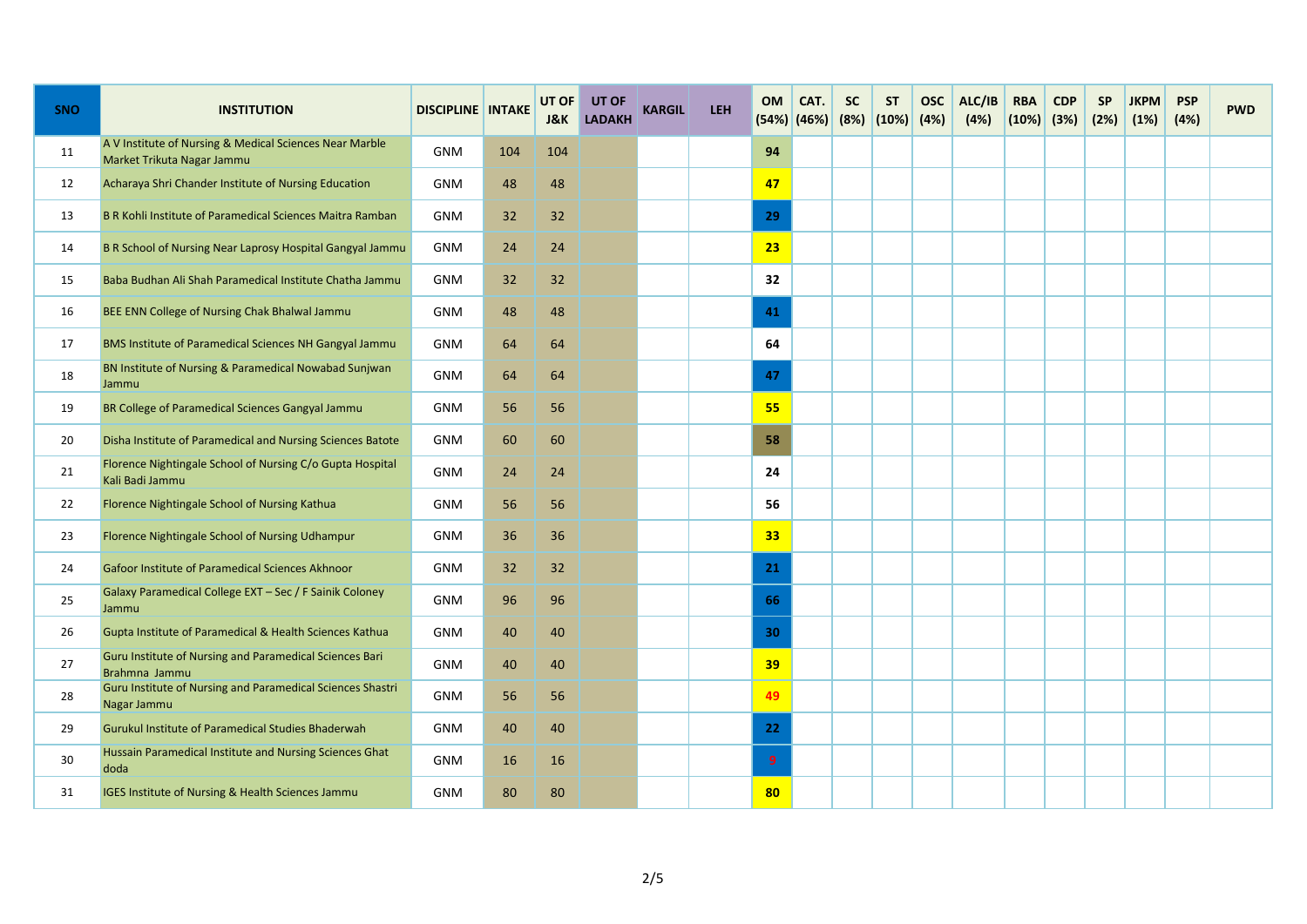| <b>SNO</b> | <b>INSTITUTION</b>                                                                    | <b>DISCIPLINE INTAKE</b> |     | UT OF<br>J&K | UT OF<br><b>LADAKH</b> | <b>KARGIL</b> | <b>LEH</b> | <b>OM</b>        | CAT.<br>$(54%)$ (46%) | <b>SC</b> | <b>ST</b><br>(8%)  (10%) | <b>OSC</b><br>(4%) | ALC/IB<br>(4%) | <b>RBA</b><br>$(10\%)$ (3%) | <b>CDP</b> | <b>SP</b><br>(2%) | <b>JKPM</b><br>(1%) | <b>PSP</b><br>(4%) | <b>PWD</b> |
|------------|---------------------------------------------------------------------------------------|--------------------------|-----|--------------|------------------------|---------------|------------|------------------|-----------------------|-----------|--------------------------|--------------------|----------------|-----------------------------|------------|-------------------|---------------------|--------------------|------------|
| 11         | A V Institute of Nursing & Medical Sciences Near Marble<br>Market Trikuta Nagar Jammu | <b>GNM</b>               | 104 | 104          |                        |               |            | 94               |                       |           |                          |                    |                |                             |            |                   |                     |                    |            |
| 12         | Acharaya Shri Chander Institute of Nursing Education                                  | <b>GNM</b>               | 48  | 48           |                        |               |            | 47               |                       |           |                          |                    |                |                             |            |                   |                     |                    |            |
| 13         | B R Kohli Institute of Paramedical Sciences Maitra Ramban                             | GNM                      | 32  | 32           |                        |               |            | 29               |                       |           |                          |                    |                |                             |            |                   |                     |                    |            |
| 14         | B R School of Nursing Near Laprosy Hospital Gangyal Jammu                             | <b>GNM</b>               | 24  | 24           |                        |               |            | 23               |                       |           |                          |                    |                |                             |            |                   |                     |                    |            |
| 15         | Baba Budhan Ali Shah Paramedical Institute Chatha Jammu                               | <b>GNM</b>               | 32  | 32           |                        |               |            | 32               |                       |           |                          |                    |                |                             |            |                   |                     |                    |            |
| 16         | BEE ENN College of Nursing Chak Bhalwal Jammu                                         | <b>GNM</b>               | 48  | 48           |                        |               |            | 41               |                       |           |                          |                    |                |                             |            |                   |                     |                    |            |
| 17         | BMS Institute of Paramedical Sciences NH Gangyal Jammu                                | <b>GNM</b>               | 64  | 64           |                        |               |            | 64               |                       |           |                          |                    |                |                             |            |                   |                     |                    |            |
| 18         | BN Institute of Nursing & Paramedical Nowabad Sunjwan<br>Jammu                        | <b>GNM</b>               | 64  | 64           |                        |               |            | 47               |                       |           |                          |                    |                |                             |            |                   |                     |                    |            |
| 19         | BR College of Paramedical Sciences Gangyal Jammu                                      | <b>GNM</b>               | 56  | 56           |                        |               |            | 55               |                       |           |                          |                    |                |                             |            |                   |                     |                    |            |
| 20         | Disha Institute of Paramedical and Nursing Sciences Batote                            | <b>GNM</b>               | 60  | 60           |                        |               |            | 58               |                       |           |                          |                    |                |                             |            |                   |                     |                    |            |
| 21         | Florence Nightingale School of Nursing C/o Gupta Hospital<br>Kali Badi Jammu          | GNM                      | 24  | 24           |                        |               |            | 24               |                       |           |                          |                    |                |                             |            |                   |                     |                    |            |
| 22         | Florence Nightingale School of Nursing Kathua                                         | GNM                      | 56  | 56           |                        |               |            | 56               |                       |           |                          |                    |                |                             |            |                   |                     |                    |            |
| 23         | Florence Nightingale School of Nursing Udhampur                                       | <b>GNM</b>               | 36  | 36           |                        |               |            | 33               |                       |           |                          |                    |                |                             |            |                   |                     |                    |            |
| 24         | Gafoor Institute of Paramedical Sciences Akhnoor                                      | <b>GNM</b>               | 32  | 32           |                        |               |            | 21               |                       |           |                          |                    |                |                             |            |                   |                     |                    |            |
| 25         | Galaxy Paramedical College EXT - Sec / F Sainik Coloney<br>Jammu                      | <b>GNM</b>               | 96  | 96           |                        |               |            | 66               |                       |           |                          |                    |                |                             |            |                   |                     |                    |            |
| 26         | Gupta Institute of Paramedical & Health Sciences Kathua                               | GNM                      | 40  | 40           |                        |               |            | 30               |                       |           |                          |                    |                |                             |            |                   |                     |                    |            |
| 27         | Guru Institute of Nursing and Paramedical Sciences Bari<br>Brahmna Jammu              | <b>GNM</b>               | 40  | 40           |                        |               |            | 39               |                       |           |                          |                    |                |                             |            |                   |                     |                    |            |
| 28         | Guru Institute of Nursing and Paramedical Sciences Shastri<br>Nagar Jammu             | <b>GNM</b>               | 56  | 56           |                        |               |            | 49               |                       |           |                          |                    |                |                             |            |                   |                     |                    |            |
| 29         | Gurukul Institute of Paramedical Studies Bhaderwah                                    | GNM                      | 40  | 40           |                        |               |            | 22               |                       |           |                          |                    |                |                             |            |                   |                     |                    |            |
| 30         | Hussain Paramedical Institute and Nursing Sciences Ghat<br>doda                       | <b>GNM</b>               | 16  | 16           |                        |               |            | $\boldsymbol{9}$ |                       |           |                          |                    |                |                             |            |                   |                     |                    |            |
| 31         | IGES Institute of Nursing & Health Sciences Jammu                                     | GNM                      | 80  | 80           |                        |               |            | 80               |                       |           |                          |                    |                |                             |            |                   |                     |                    |            |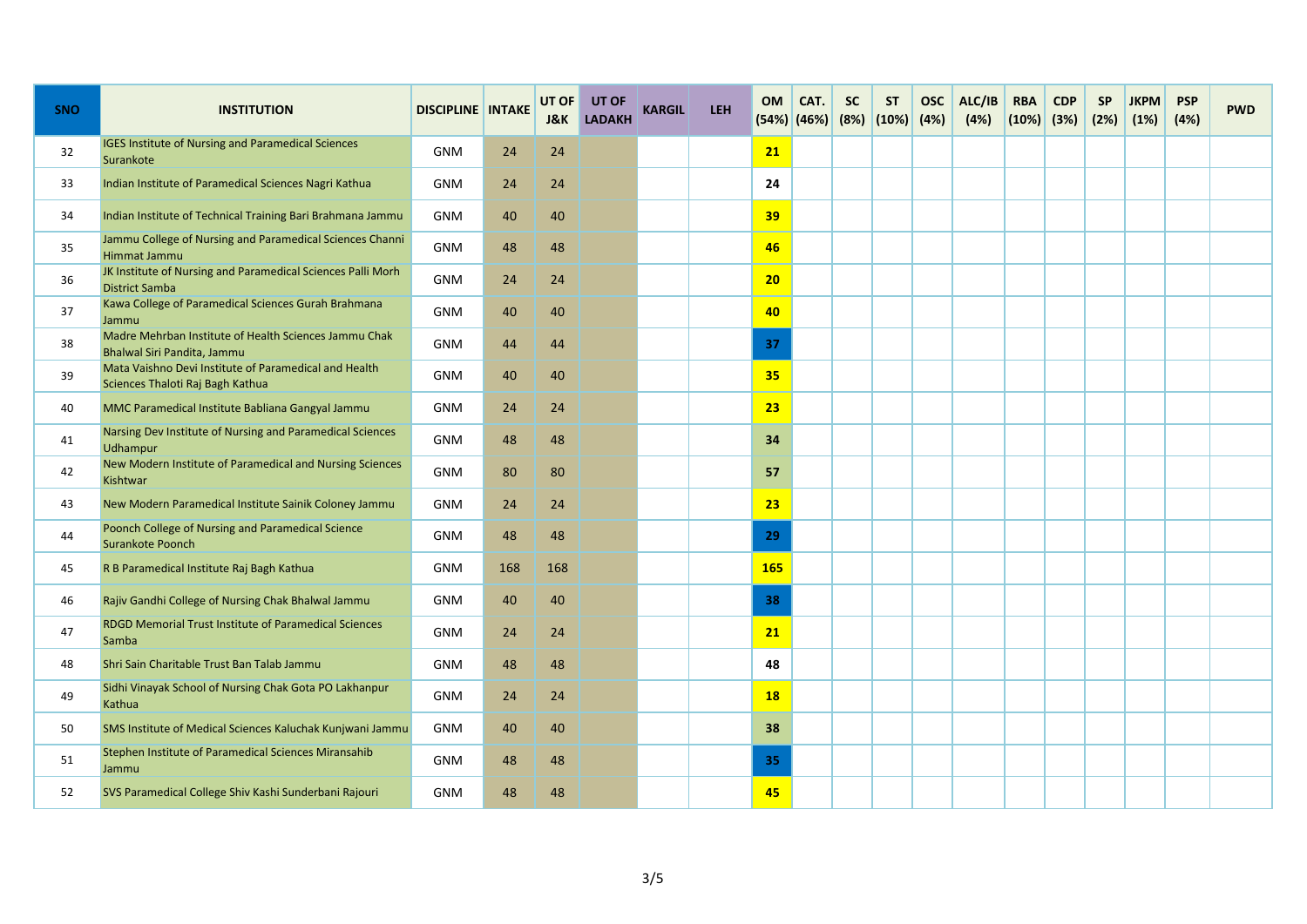| <b>SNO</b> | <b>INSTITUTION</b>                                                                        | <b>DISCIPLINE INTAKE</b> |     | UT OF<br><b>J&amp;K</b> | UT OF<br><b>LADAKH</b> | KARGIL | LEH | <b>OM</b><br>$(54%)$ (46%) | CAT. | <b>SC</b> | <b>ST</b><br>(8%)  (10%) | <b>OSC</b><br>(4%) | ALC/IB<br>(4%) | <b>RBA</b><br>$(10%)$ (3%) | <b>CDP</b> | <b>SP</b><br>(2%) | <b>JKPM</b><br>(1%) | <b>PSP</b><br>(4%) | <b>PWD</b> |
|------------|-------------------------------------------------------------------------------------------|--------------------------|-----|-------------------------|------------------------|--------|-----|----------------------------|------|-----------|--------------------------|--------------------|----------------|----------------------------|------------|-------------------|---------------------|--------------------|------------|
| 32         | <b>IGES Institute of Nursing and Paramedical Sciences</b><br>Surankote                    | <b>GNM</b>               | 24  | 24                      |                        |        |     | 21                         |      |           |                          |                    |                |                            |            |                   |                     |                    |            |
| 33         | Indian Institute of Paramedical Sciences Nagri Kathua                                     | <b>GNM</b>               | 24  | 24                      |                        |        |     | 24                         |      |           |                          |                    |                |                            |            |                   |                     |                    |            |
| 34         | Indian Institute of Technical Training Bari Brahmana Jammu                                | <b>GNM</b>               | 40  | 40                      |                        |        |     | 39                         |      |           |                          |                    |                |                            |            |                   |                     |                    |            |
| 35         | Jammu College of Nursing and Paramedical Sciences Channi<br>Himmat Jammu                  | <b>GNM</b>               | 48  | 48                      |                        |        |     | 46                         |      |           |                          |                    |                |                            |            |                   |                     |                    |            |
| 36         | JK Institute of Nursing and Paramedical Sciences Palli Morh<br><b>District Samba</b>      | <b>GNM</b>               | 24  | 24                      |                        |        |     | 20                         |      |           |                          |                    |                |                            |            |                   |                     |                    |            |
| 37         | Kawa College of Paramedical Sciences Gurah Brahmana<br>Jammu                              | <b>GNM</b>               | 40  | 40                      |                        |        |     | 40                         |      |           |                          |                    |                |                            |            |                   |                     |                    |            |
| 38         | Madre Mehrban Institute of Health Sciences Jammu Chak<br>Bhalwal Siri Pandita, Jammu      | <b>GNM</b>               | 44  | 44                      |                        |        |     | 37                         |      |           |                          |                    |                |                            |            |                   |                     |                    |            |
| 39         | Mata Vaishno Devi Institute of Paramedical and Health<br>Sciences Thaloti Raj Bagh Kathua | <b>GNM</b>               | 40  | 40                      |                        |        |     | 35                         |      |           |                          |                    |                |                            |            |                   |                     |                    |            |
| 40         | MMC Paramedical Institute Babliana Gangyal Jammu                                          | <b>GNM</b>               | 24  | 24                      |                        |        |     | 23                         |      |           |                          |                    |                |                            |            |                   |                     |                    |            |
| 41         | Narsing Dev Institute of Nursing and Paramedical Sciences<br>Udhampur                     | <b>GNM</b>               | 48  | 48                      |                        |        |     | 34                         |      |           |                          |                    |                |                            |            |                   |                     |                    |            |
| 42         | New Modern Institute of Paramedical and Nursing Sciences<br>Kishtwar                      | <b>GNM</b>               | 80  | 80                      |                        |        |     | 57                         |      |           |                          |                    |                |                            |            |                   |                     |                    |            |
| 43         | New Modern Paramedical Institute Sainik Coloney Jammu                                     | <b>GNM</b>               | 24  | 24                      |                        |        |     | 23                         |      |           |                          |                    |                |                            |            |                   |                     |                    |            |
| 44         | Poonch College of Nursing and Paramedical Science<br>Surankote Poonch                     | <b>GNM</b>               | 48  | 48                      |                        |        |     | 29                         |      |           |                          |                    |                |                            |            |                   |                     |                    |            |
| 45         | R B Paramedical Institute Raj Bagh Kathua                                                 | <b>GNM</b>               | 168 | 168                     |                        |        |     | <b>165</b>                 |      |           |                          |                    |                |                            |            |                   |                     |                    |            |
| 46         | Rajiv Gandhi College of Nursing Chak Bhalwal Jammu                                        | <b>GNM</b>               | 40  | 40                      |                        |        |     | 38                         |      |           |                          |                    |                |                            |            |                   |                     |                    |            |
| 47         | RDGD Memorial Trust Institute of Paramedical Sciences<br>Samba                            | <b>GNM</b>               | 24  | 24                      |                        |        |     | 21                         |      |           |                          |                    |                |                            |            |                   |                     |                    |            |
| 48         | Shri Sain Charitable Trust Ban Talab Jammu                                                | <b>GNM</b>               | 48  | 48                      |                        |        |     | 48                         |      |           |                          |                    |                |                            |            |                   |                     |                    |            |
| 49         | Sidhi Vinayak School of Nursing Chak Gota PO Lakhanpur<br>Kathua                          | <b>GNM</b>               | 24  | 24                      |                        |        |     | <b>18</b>                  |      |           |                          |                    |                |                            |            |                   |                     |                    |            |
| 50         | SMS Institute of Medical Sciences Kaluchak Kunjwani Jammu                                 | <b>GNM</b>               | 40  | 40                      |                        |        |     | 38                         |      |           |                          |                    |                |                            |            |                   |                     |                    |            |
| 51         | Stephen Institute of Paramedical Sciences Miransahib<br>Jammu                             | <b>GNM</b>               | 48  | 48                      |                        |        |     | 35                         |      |           |                          |                    |                |                            |            |                   |                     |                    |            |
| 52         | SVS Paramedical College Shiv Kashi Sunderbani Rajouri                                     | <b>GNM</b>               | 48  | 48                      |                        |        |     | 45                         |      |           |                          |                    |                |                            |            |                   |                     |                    |            |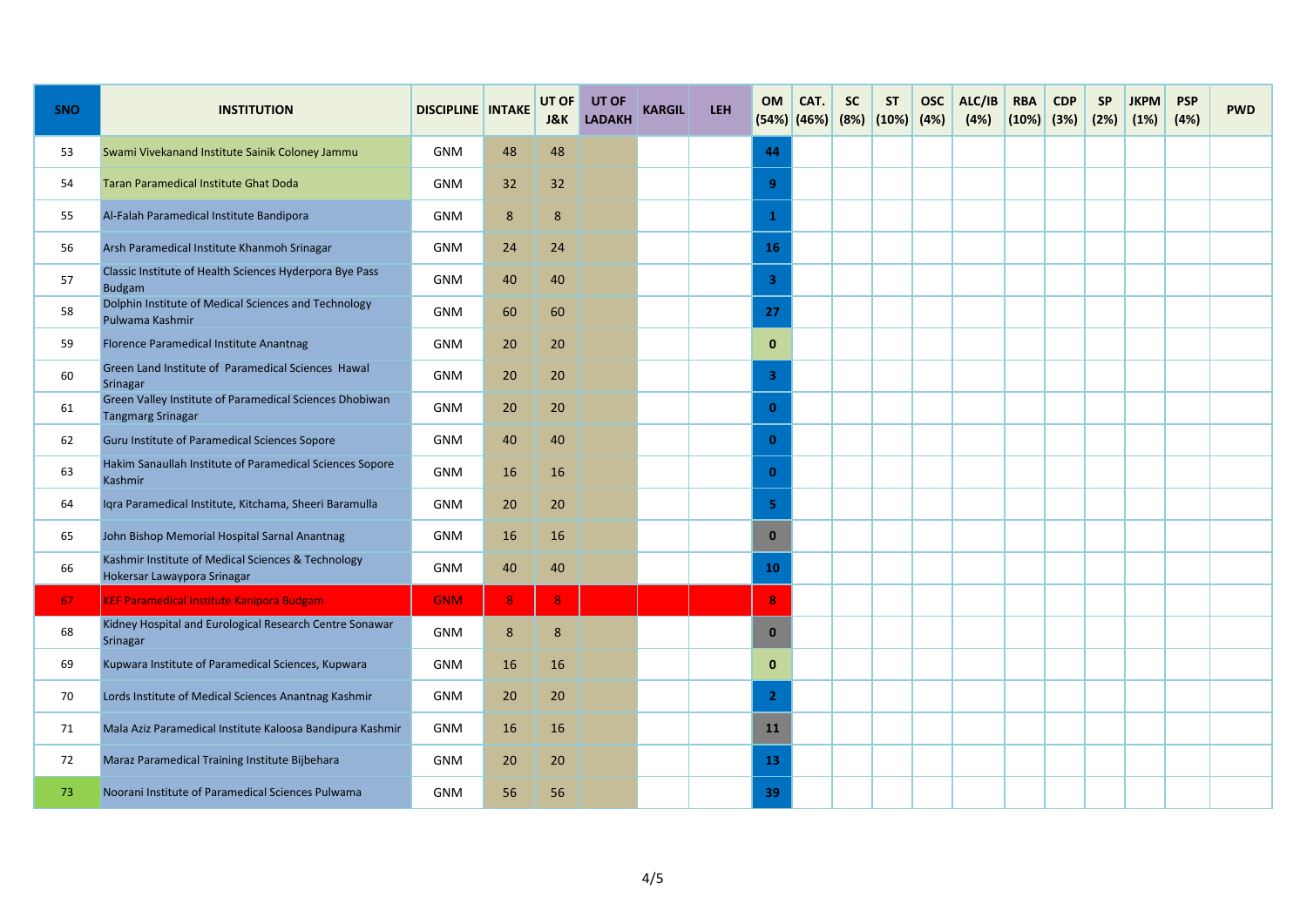| <b>SNO</b> | <b>INSTITUTION</b>                                                                  | <b>DISCIPLINE INTAKE</b> |    | UT OF<br><b>J&amp;K</b> | <b>UT OF</b><br><b>LADAKH</b> | <b>KARGIL</b> | LEH | <b>OM</b>      | CAT.<br>(54%) (46%) | <b>SC</b> | <b>ST</b><br>$(8%)$ $(10%)$ $(4%)$ | <b>OSC</b> | ALC/IB<br>(4%) | <b>RBA</b><br>$(10%)$ (3%) | <b>CDP</b> | <b>SP</b><br>(2%) | <b>JKPM</b><br>(1%) | <b>PSP</b><br>(4%) | <b>PWD</b> |
|------------|-------------------------------------------------------------------------------------|--------------------------|----|-------------------------|-------------------------------|---------------|-----|----------------|---------------------|-----------|------------------------------------|------------|----------------|----------------------------|------------|-------------------|---------------------|--------------------|------------|
| 53         | Swami Vivekanand Institute Sainik Coloney Jammu                                     | <b>GNM</b>               | 48 | 48                      |                               |               |     | 44             |                     |           |                                    |            |                |                            |            |                   |                     |                    |            |
| 54         | Taran Paramedical Institute Ghat Doda                                               | <b>GNM</b>               | 32 | 32                      |                               |               |     | 9              |                     |           |                                    |            |                |                            |            |                   |                     |                    |            |
| 55         | Al-Falah Paramedical Institute Bandipora                                            | <b>GNM</b>               | 8  | 8                       |                               |               |     | $\mathbf{1}$   |                     |           |                                    |            |                |                            |            |                   |                     |                    |            |
| 56         | Arsh Paramedical Institute Khanmoh Srinagar                                         | <b>GNM</b>               | 24 | 24                      |                               |               |     | <b>16</b>      |                     |           |                                    |            |                |                            |            |                   |                     |                    |            |
| 57         | Classic Institute of Health Sciences Hyderpora Bye Pass<br><b>Budgam</b>            | <b>GNM</b>               | 40 | 40                      |                               |               |     | $\overline{3}$ |                     |           |                                    |            |                |                            |            |                   |                     |                    |            |
| 58         | Dolphin Institute of Medical Sciences and Technology<br>Pulwama Kashmir             | <b>GNM</b>               | 60 | 60                      |                               |               |     | 27             |                     |           |                                    |            |                |                            |            |                   |                     |                    |            |
| 59         | Florence Paramedical Institute Anantnag                                             | <b>GNM</b>               | 20 | 20                      |                               |               |     | $\mathbf{0}$   |                     |           |                                    |            |                |                            |            |                   |                     |                    |            |
| 60         | Green Land Institute of Paramedical Sciences Hawal<br>Srinagar                      | <b>GNM</b>               | 20 | 20                      |                               |               |     | 3              |                     |           |                                    |            |                |                            |            |                   |                     |                    |            |
| 61         | Green Valley Institute of Paramedical Sciences Dhobiwan<br><b>Tangmarg Srinagar</b> | <b>GNM</b>               | 20 | 20                      |                               |               |     | $\mathbf{0}$   |                     |           |                                    |            |                |                            |            |                   |                     |                    |            |
| 62         | Guru Institute of Paramedical Sciences Sopore                                       | <b>GNM</b>               | 40 | 40                      |                               |               |     | $\mathbf{0}$   |                     |           |                                    |            |                |                            |            |                   |                     |                    |            |
| 63         | Hakim Sanaullah Institute of Paramedical Sciences Sopore<br><b>Kashmir</b>          | <b>GNM</b>               | 16 | 16                      |                               |               |     | $\mathbf{0}$   |                     |           |                                    |            |                |                            |            |                   |                     |                    |            |
| 64         | Iqra Paramedical Institute, Kitchama, Sheeri Baramulla                              | <b>GNM</b>               | 20 | 20                      |                               |               |     | 5              |                     |           |                                    |            |                |                            |            |                   |                     |                    |            |
| 65         | John Bishop Memorial Hospital Sarnal Anantnag                                       | <b>GNM</b>               | 16 | 16                      |                               |               |     | $\mathbf{0}$   |                     |           |                                    |            |                |                            |            |                   |                     |                    |            |
| 66         | Kashmir Institute of Medical Sciences & Technology<br>Hokersar Lawaypora Srinagar   | <b>GNM</b>               | 40 | 40                      |                               |               |     | 10             |                     |           |                                    |            |                |                            |            |                   |                     |                    |            |
| 67         | <b>KEF Paramedical Institute Kanipora Budgam</b>                                    | <b>GNM</b>               | 8  | 8                       |                               |               |     | 8              |                     |           |                                    |            |                |                            |            |                   |                     |                    |            |
| 68         | Kidney Hospital and Eurological Research Centre Sonawar<br>Srinagar                 | <b>GNM</b>               | 8  | 8                       |                               |               |     | $\mathbf{0}$   |                     |           |                                    |            |                |                            |            |                   |                     |                    |            |
| 69         | Kupwara Institute of Paramedical Sciences, Kupwara                                  | <b>GNM</b>               | 16 | 16                      |                               |               |     | $\mathbf{0}$   |                     |           |                                    |            |                |                            |            |                   |                     |                    |            |
| 70         | Lords Institute of Medical Sciences Anantnag Kashmir                                | <b>GNM</b>               | 20 | 20                      |                               |               |     | $\overline{2}$ |                     |           |                                    |            |                |                            |            |                   |                     |                    |            |
| 71         | Mala Aziz Paramedical Institute Kaloosa Bandipura Kashmir                           | <b>GNM</b>               | 16 | 16                      |                               |               |     | 11             |                     |           |                                    |            |                |                            |            |                   |                     |                    |            |
| 72         | Maraz Paramedical Training Institute Bijbehara                                      | <b>GNM</b>               | 20 | 20                      |                               |               |     | 13             |                     |           |                                    |            |                |                            |            |                   |                     |                    |            |
| 73         | Noorani Institute of Paramedical Sciences Pulwama                                   | <b>GNM</b>               | 56 | 56                      |                               |               |     | 39             |                     |           |                                    |            |                |                            |            |                   |                     |                    |            |